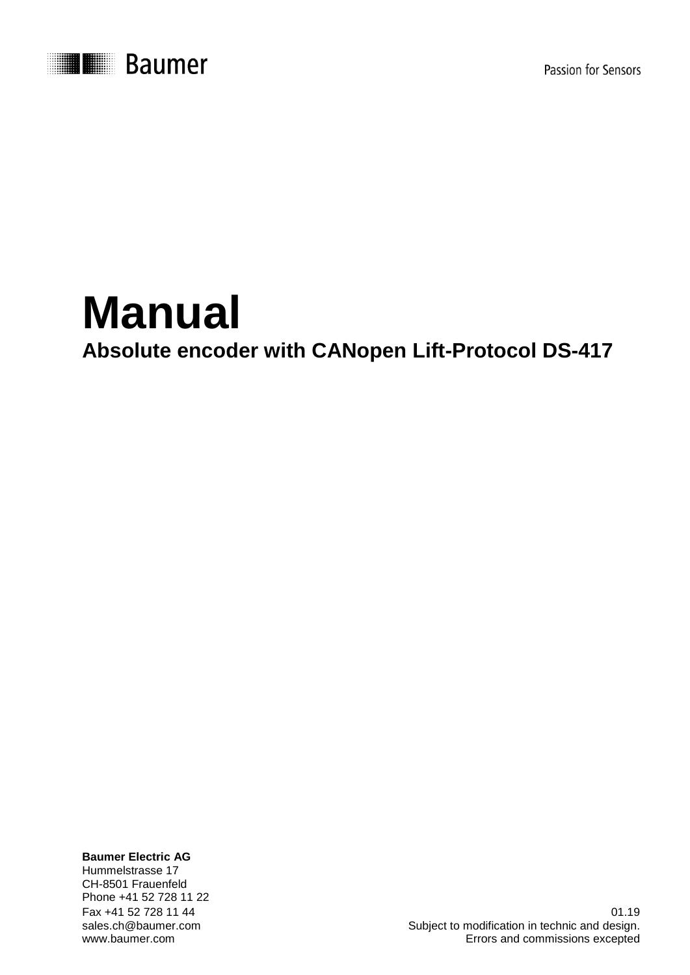

Passion for Sensors

# **Manual Absolute encoder with CANopen Lift-Protocol DS-417**

**Baumer Electric AG** Hummelstrasse 17 CH-8501 Frauenfeld Phone +41 52 728 11 22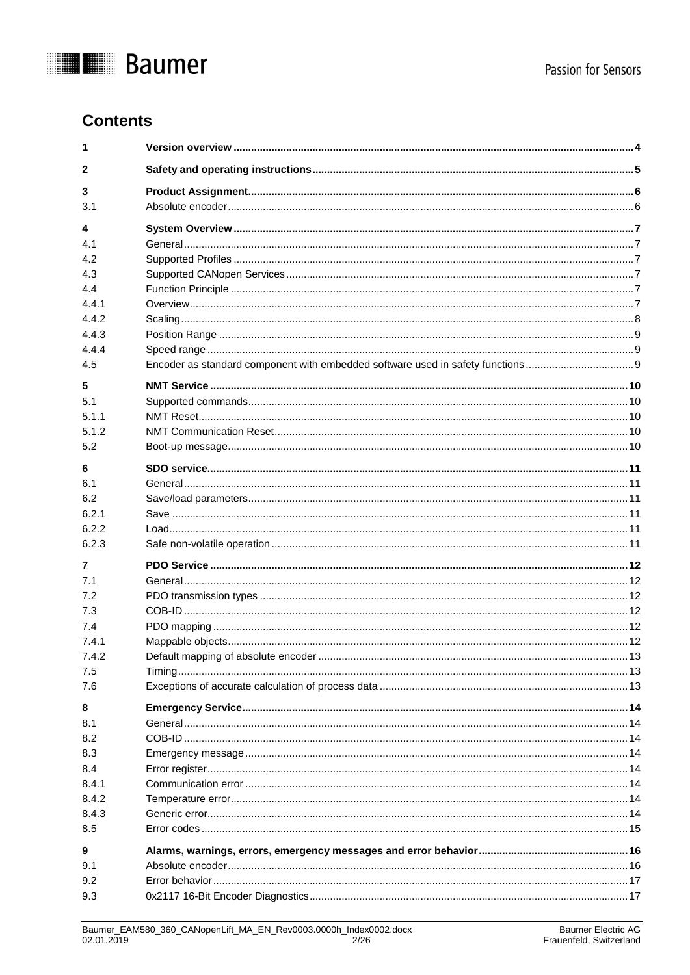

# **Contents**

| 1            |  |
|--------------|--|
| $\mathbf{2}$ |  |
| 3            |  |
| 3.1          |  |
| 4            |  |
| 4.1          |  |
| 4.2          |  |
| 4.3          |  |
| 4.4          |  |
| 4.4.1        |  |
| 4.4.2        |  |
| 4.4.3        |  |
| 4.4.4        |  |
| 4.5          |  |
| 5            |  |
| 5.1          |  |
| 5.1.1        |  |
| 512          |  |
| 5.2          |  |
| 6            |  |
| 6.1          |  |
| 6.2          |  |
| 6.2.1        |  |
| 6.2.2        |  |
| 6.2.3        |  |
| 7            |  |
| 7.1          |  |
| 7.2          |  |
| 7.3          |  |
| 7.4          |  |
| 7.4.1        |  |
| 7.4.2        |  |
| 7.5          |  |
| 7.6          |  |
| 8            |  |
| 8.1          |  |
| 8.2          |  |
| 8.3          |  |
| 8.4          |  |
| 8.4.1        |  |
| 8.4.2        |  |
| 8.4.3        |  |
| 8.5          |  |
| 9            |  |
| 9.1          |  |
| 9.2          |  |
| 9.3          |  |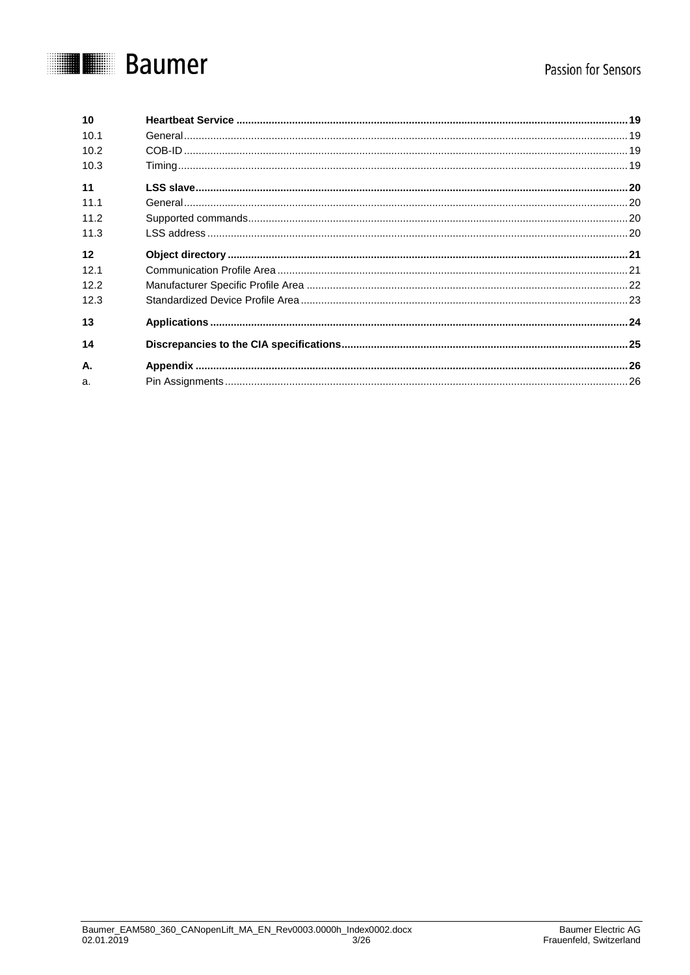# **THE Baumer**

| 10   |  |
|------|--|
| 10.1 |  |
| 10.2 |  |
| 10.3 |  |
| 11   |  |
| 11.1 |  |
| 11.2 |  |
| 11.3 |  |
| 12   |  |
| 12.1 |  |
| 12.2 |  |
| 12.3 |  |
| 13   |  |
| 14   |  |
| А.   |  |
| a.   |  |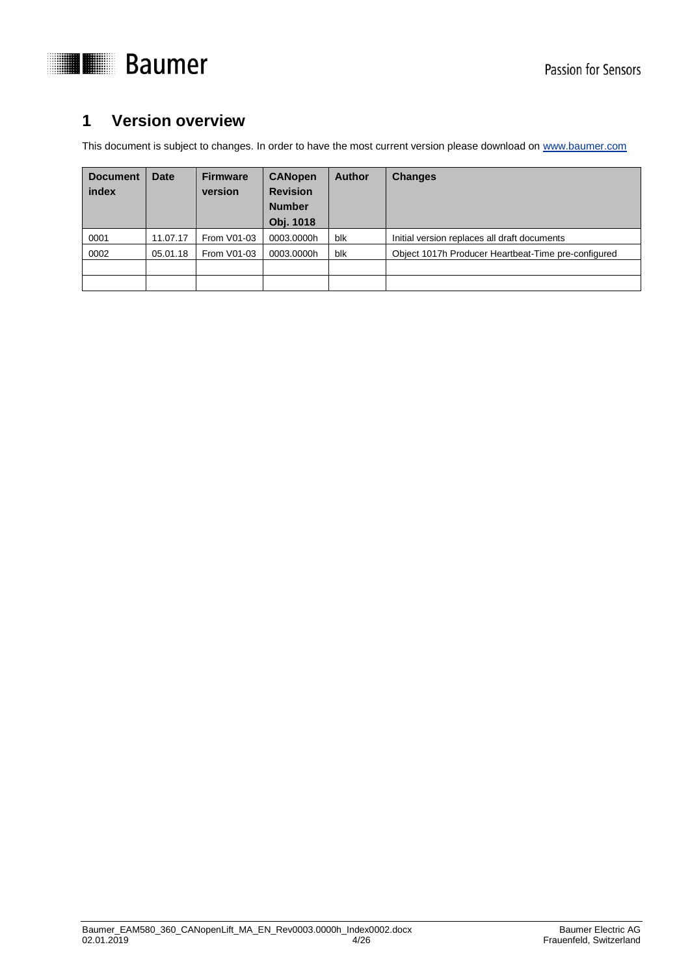



# <span id="page-3-0"></span>**1 Version overview**

This document is subject to changes. In order to have the most current version please download o[n www.baumer.com](http://www.baumer.com/)

| <b>Document</b><br>index | <b>Date</b> | <b>Firmware</b><br>version | <b>CANopen</b><br><b>Revision</b><br><b>Number</b><br><b>Obj. 1018</b> | <b>Author</b> | <b>Changes</b>                                      |
|--------------------------|-------------|----------------------------|------------------------------------------------------------------------|---------------|-----------------------------------------------------|
| 0001                     | 11.07.17    | From V01-03                | 0003.0000h                                                             | blk           | Initial version replaces all draft documents        |
| 0002                     | 05.01.18    | From V01-03                | 0003.0000h                                                             | blk           | Object 1017h Producer Heartbeat-Time pre-configured |
|                          |             |                            |                                                                        |               |                                                     |
|                          |             |                            |                                                                        |               |                                                     |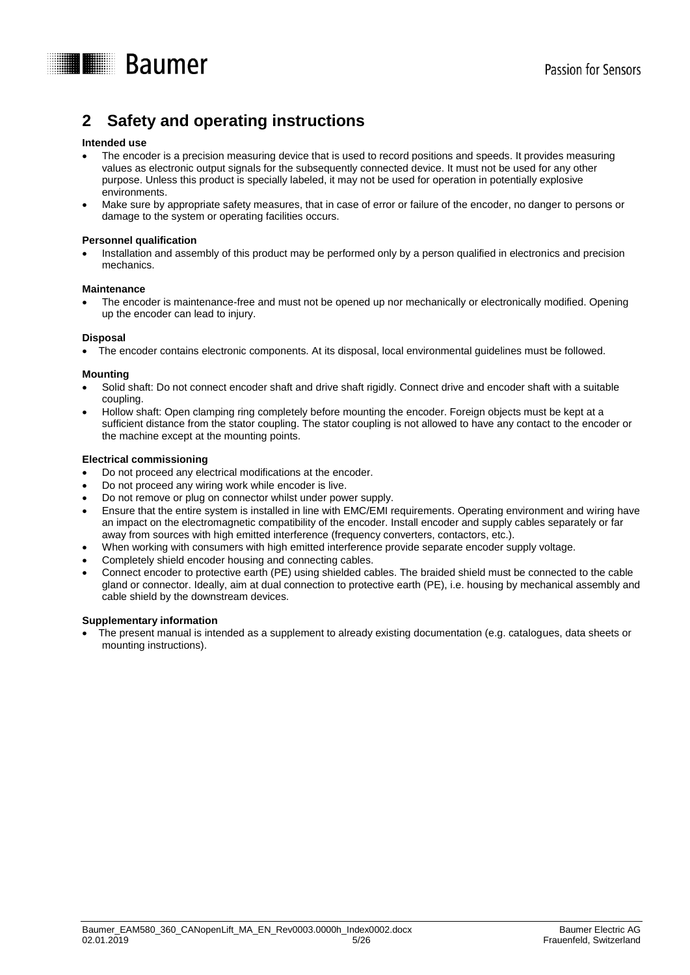

# <span id="page-4-0"></span>**2 Safety and operating instructions**

#### **Intended use**

- The encoder is a precision measuring device that is used to record positions and speeds. It provides measuring values as electronic output signals for the subsequently connected device. It must not be used for any other purpose. Unless this product is specially labeled, it may not be used for operation in potentially explosive environments.
- Make sure by appropriate safety measures, that in case of error or failure of the encoder, no danger to persons or damage to the system or operating facilities occurs.

#### **Personnel qualification**

 Installation and assembly of this product may be performed only by a person qualified in electronics and precision mechanics.

#### **Maintenance**

 The encoder is maintenance-free and must not be opened up nor mechanically or electronically modified. Opening up the encoder can lead to injury.

#### **Disposal**

The encoder contains electronic components. At its disposal, local environmental guidelines must be followed.

#### **Mounting**

- Solid shaft: Do not connect encoder shaft and drive shaft rigidly. Connect drive and encoder shaft with a suitable coupling.
- Hollow shaft: Open clamping ring completely before mounting the encoder. Foreign objects must be kept at a sufficient distance from the stator coupling. The stator coupling is not allowed to have any contact to the encoder or the machine except at the mounting points.

#### **Electrical commissioning**

- Do not proceed any electrical modifications at the encoder.
- Do not proceed any wiring work while encoder is live.
- Do not remove or plug on connector whilst under power supply.
- Ensure that the entire system is installed in line with EMC/EMI requirements. Operating environment and wiring have an impact on the electromagnetic compatibility of the encoder. Install encoder and supply cables separately or far away from sources with high emitted interference (frequency converters, contactors, etc.).
- When working with consumers with high emitted interference provide separate encoder supply voltage.
- Completely shield encoder housing and connecting cables.
- Connect encoder to protective earth (PE) using shielded cables. The braided shield must be connected to the cable gland or connector. Ideally, aim at dual connection to protective earth (PE), i.e. housing by mechanical assembly and cable shield by the downstream devices.

#### **Supplementary information**

 The present manual is intended as a supplement to already existing documentation (e.g. catalogues, data sheets or mounting instructions).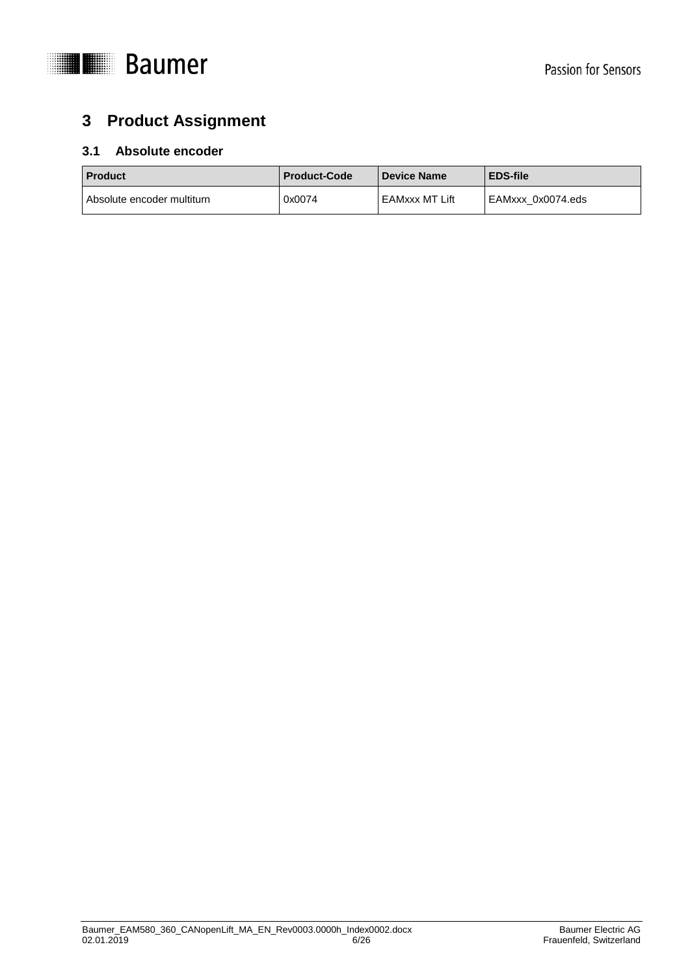

# <span id="page-5-0"></span>**3 Product Assignment**

# <span id="page-5-1"></span>**3.1 Absolute encoder**

| <b>Product</b>             | <b>Product-Code</b> | <b>Device Name</b> | <b>EDS-file</b>   |  |
|----------------------------|---------------------|--------------------|-------------------|--|
| Absolute encoder multiturn | 0x0074              | EAMxxx MT Lift     | EAMxxx 0x0074.eds |  |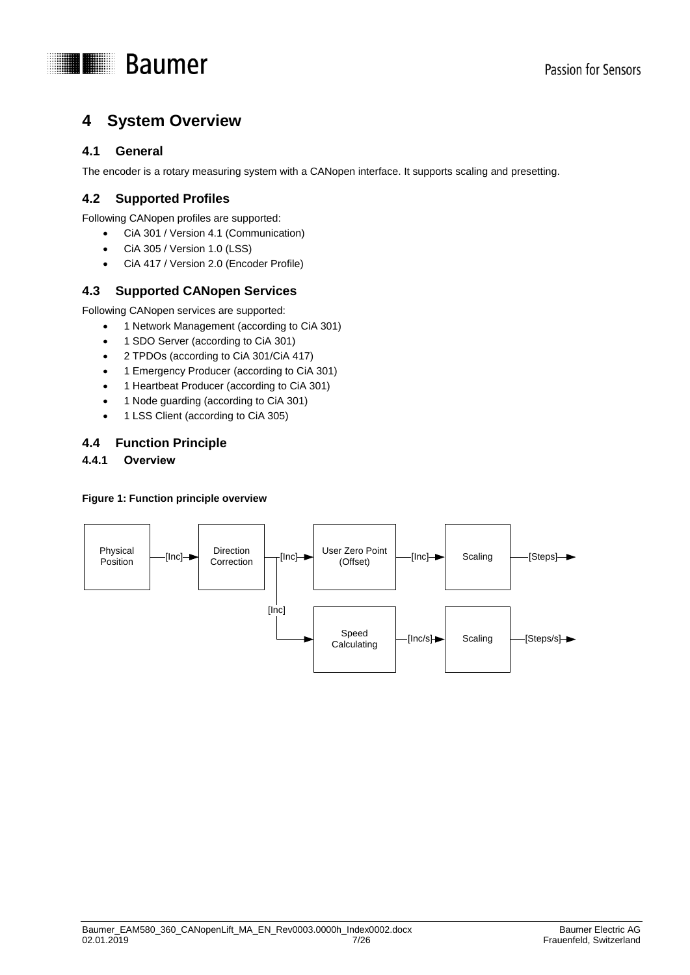

# <span id="page-6-0"></span>**4 System Overview**

# <span id="page-6-1"></span>**4.1 General**

The encoder is a rotary measuring system with a CANopen interface. It supports scaling and presetting.

# <span id="page-6-2"></span>**4.2 Supported Profiles**

Following CANopen profiles are supported:

- CiA 301 / Version 4.1 (Communication)
- CiA 305 / Version 1.0 (LSS)
- CiA 417 / Version 2.0 (Encoder Profile)

# <span id="page-6-3"></span>**4.3 Supported CANopen Services**

Following CANopen services are supported:

- 1 Network Management (according to CiA 301)
- 1 SDO Server (according to CiA 301)
- 2 TPDOs (according to CiA 301/CiA 417)
- 1 Emergency Producer (according to CiA 301)
- 1 Heartbeat Producer (according to CiA 301)
- 1 Node guarding (according to CiA 301)
- 1 LSS Client (according to CiA 305)

### <span id="page-6-4"></span>**4.4 Function Principle**

# <span id="page-6-5"></span>**4.4.1 Overview**

#### **Figure 1: Function principle overview**

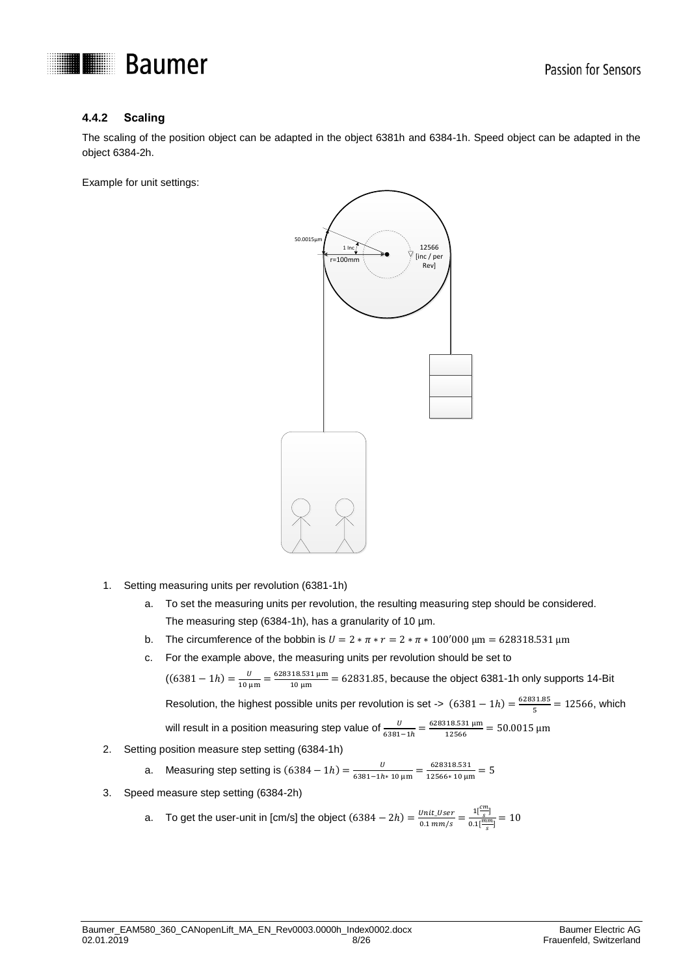

### <span id="page-7-0"></span>**4.4.2 Scaling**

The scaling of the position object can be adapted in the object 6381h and 6384-1h. Speed object can be adapted in the object 6384-2h.

Example for unit settings:



- 1. Setting measuring units per revolution (6381-1h)
	- a. To set the measuring units per revolution, the resulting measuring step should be considered. The measuring step (6384-1h), has a granularity of 10 µm.
	- b. The circumference of the bobbin is  $U = 2 * \pi * r = 2 * \pi * 100'000 \text{ }\mu\text{m} = 628318.531 \text{ }\mu\text{m}$
	- c. For the example above, the measuring units per revolution should be set to

 $((6381 - 1h) = \frac{v}{480}$  $\frac{U}{10 \mu m} = \frac{628318.531 \mu m}{10 \mu m}$  $\frac{16.551 \text{ }\mu\text{m}}{10 \text{ }\mu\text{m}} = 62831.85$ , because the object 6381-1h only supports 14-Bit Resolution, the highest possible units per revolution is set ->  $(6381 - 1h) = \frac{62831.85}{5}$  $\frac{31.85}{5}$  = 12566, which will result in a position measuring step value of  $\frac{U}{6381-1h} = \frac{628318.531 \,\mu\text{m}}{12566}$  $\frac{12566}{12566} = 50.0015$  µm

2. Setting position measure step setting (6384-1h)

a. Measuring step setting is 
$$
(6384 - 1h) = \frac{0}{6381 - 1h + 10 \,\mu\text{m}} = \frac{628318.531}{12566 \times 10 \,\mu\text{m}} = 5
$$

- 3. Speed measure step setting (6384-2h)
	- a. To get the user-unit in [cm/s] the object  $(6384 2h) = \frac{Unit\_User}{24}$  $\frac{Unit\_User}{0.1 \, mm/s} = \frac{1 \left[\frac{cm}{s}\right]}{0.1 \left[\frac{mm}{s}\right]}$  $\frac{1}{0.1}$  $\frac{s}{\left[\frac{mm}{s}\right]}$  = 10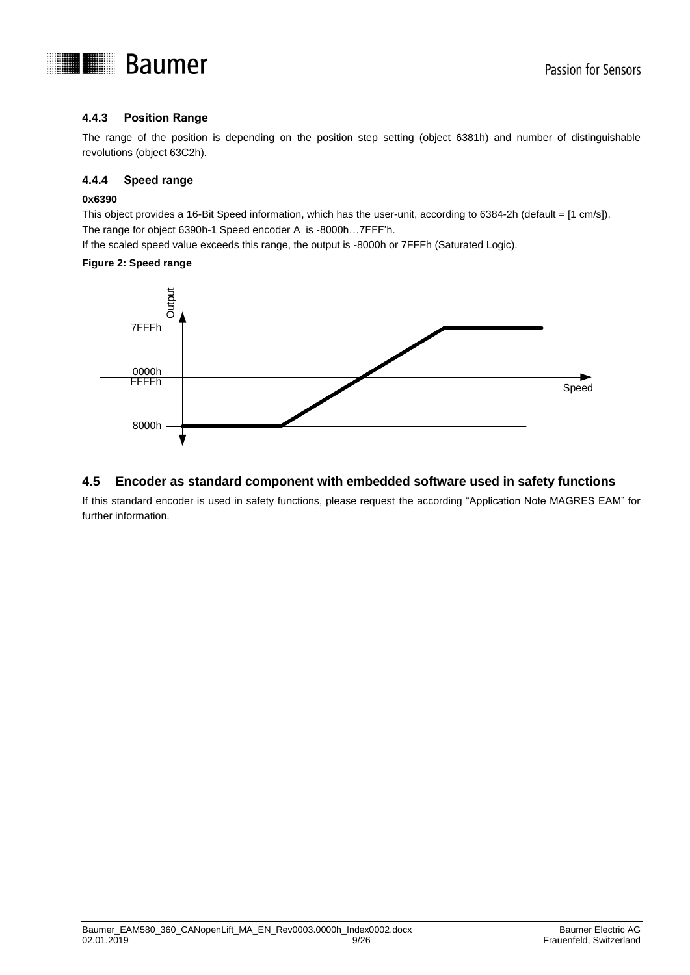

### <span id="page-8-0"></span>**4.4.3 Position Range**

The range of the position is depending on the position step setting (object 6381h) and number of distinguishable revolutions (object 63C2h).

#### <span id="page-8-1"></span>**4.4.4 Speed range**

#### **0x6390**

This object provides a 16-Bit Speed information, which has the user-unit, according to 6384-2h (default = [1 cm/s]). The range for object 6390h-1 Speed encoder A is -8000h…7FFF'h.

If the scaled speed value exceeds this range, the output is -8000h or 7FFFh (Saturated Logic).

#### **Figure 2: Speed range**



### <span id="page-8-2"></span>**4.5 Encoder as standard component with embedded software used in safety functions**

If this standard encoder is used in safety functions, please request the according "Application Note MAGRES EAM" for further information.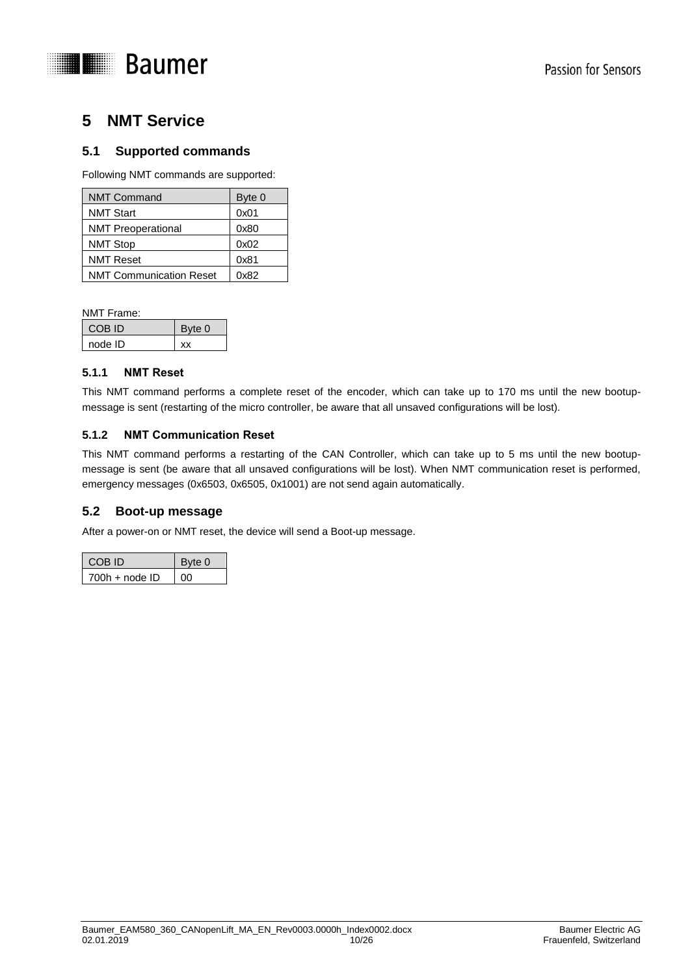

# <span id="page-9-0"></span>**5 NMT Service**

# <span id="page-9-1"></span>**5.1 Supported commands**

Following NMT commands are supported:

| <b>NMT Command</b>             | Byte 0 |
|--------------------------------|--------|
| <b>NMT Start</b>               | 0x01   |
| <b>NMT Preoperational</b>      | 0x80   |
| <b>NMT Stop</b>                | 0x02   |
| <b>NMT Reset</b>               | 0x81   |
| <b>NMT Communication Reset</b> | 0x82   |

NMT Frame:

| COB ID  | Byte 0 |
|---------|--------|
| node ID |        |

#### <span id="page-9-2"></span>**5.1.1 NMT Reset**

This NMT command performs a complete reset of the encoder, which can take up to 170 ms until the new bootupmessage is sent (restarting of the micro controller, be aware that all unsaved configurations will be lost).

#### <span id="page-9-3"></span>**5.1.2 NMT Communication Reset**

This NMT command performs a restarting of the CAN Controller, which can take up to 5 ms until the new bootupmessage is sent (be aware that all unsaved configurations will be lost). When NMT communication reset is performed, emergency messages (0x6503, 0x6505, 0x1001) are not send again automatically.

### <span id="page-9-4"></span>**5.2 Boot-up message**

After a power-on or NMT reset, the device will send a Boot-up message.

| COB ID           | Byte 0 |
|------------------|--------|
| $700h + node$ ID | ററ     |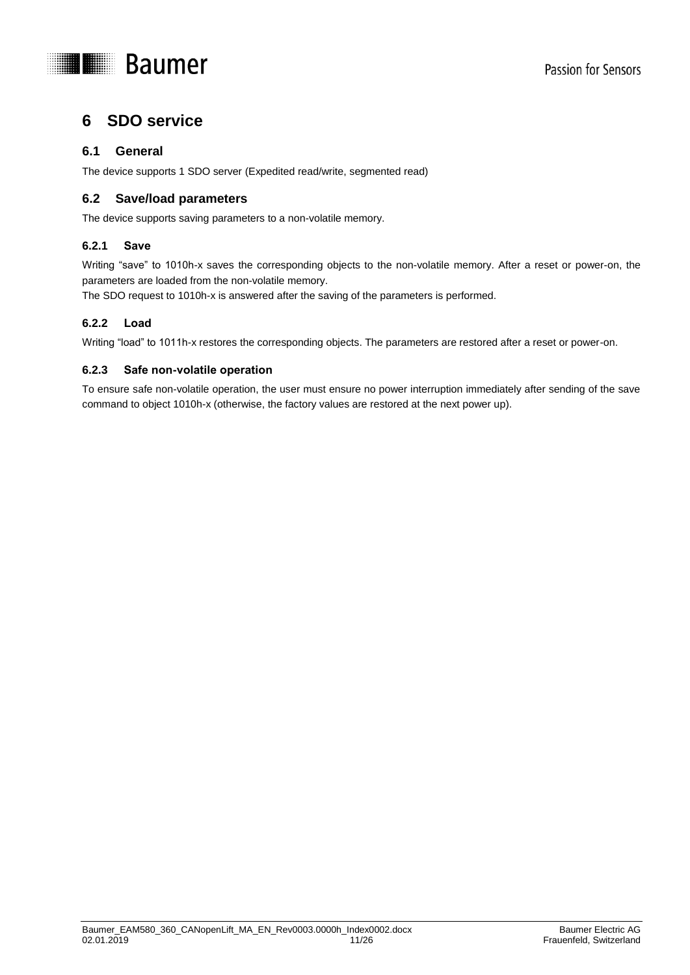

# <span id="page-10-0"></span>**6 SDO service**

### <span id="page-10-1"></span>**6.1 General**

<span id="page-10-2"></span>The device supports 1 SDO server (Expedited read/write, segmented read)

### **6.2 Save/load parameters**

The device supports saving parameters to a non-volatile memory.

#### <span id="page-10-3"></span>**6.2.1 Save**

Writing "save" to 1010h-x saves the corresponding objects to the non-volatile memory. After a reset or power-on, the parameters are loaded from the non-volatile memory.

The SDO request to 1010h-x is answered after the saving of the parameters is performed.

#### <span id="page-10-4"></span>**6.2.2 Load**

Writing "load" to 1011h-x restores the corresponding objects. The parameters are restored after a reset or power-on.

#### <span id="page-10-5"></span>**6.2.3 Safe non-volatile operation**

To ensure safe non-volatile operation, the user must ensure no power interruption immediately after sending of the save command to object 1010h-x (otherwise, the factory values are restored at the next power up).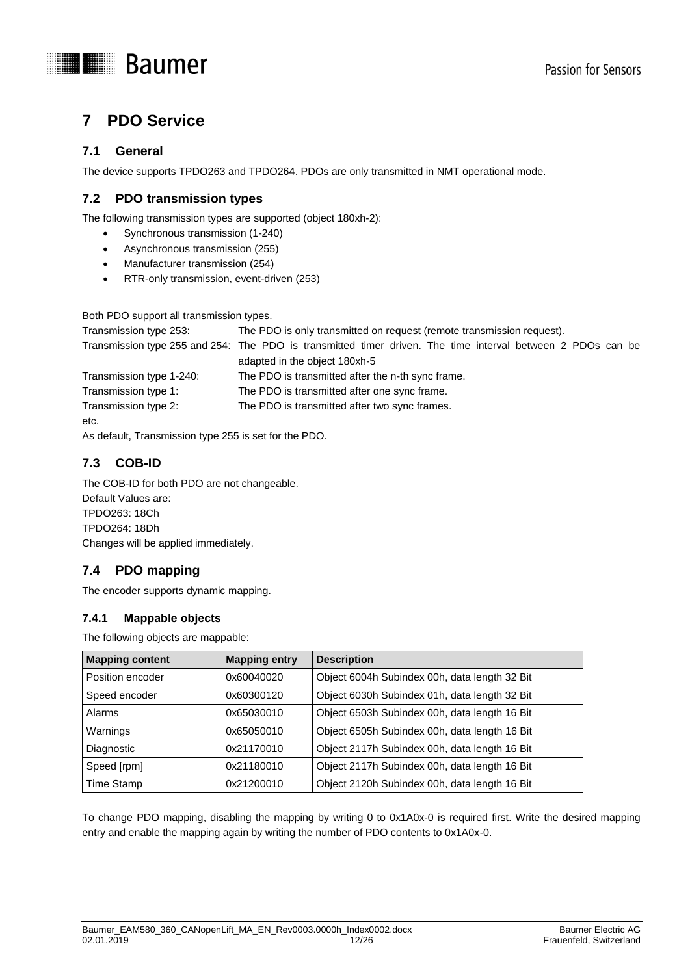



# <span id="page-11-0"></span>**7 PDO Service**

# <span id="page-11-1"></span>**7.1 General**

<span id="page-11-2"></span>The device supports TPDO263 and TPDO264. PDOs are only transmitted in NMT operational mode.

### **7.2 PDO transmission types**

The following transmission types are supported (object 180xh-2):

- Synchronous transmission (1-240)
- Asynchronous transmission (255)
- Manufacturer transmission (254)
- RTR-only transmission, event-driven (253)

Both PDO support all transmission types.

| Transmission type 253:   | The PDO is only transmitted on request (remote transmission request).                                       |
|--------------------------|-------------------------------------------------------------------------------------------------------------|
|                          | Transmission type 255 and 254: The PDO is transmitted timer driven. The time interval between 2 PDOs can be |
|                          | adapted in the object 180xh-5                                                                               |
| Transmission type 1-240: | The PDO is transmitted after the n-th sync frame.                                                           |
| Transmission type 1:     | The PDO is transmitted after one sync frame.                                                                |
| Transmission type 2:     | The PDO is transmitted after two sync frames.                                                               |
| etc.                     |                                                                                                             |

<span id="page-11-3"></span>As default, Transmission type 255 is set for the PDO.

# **7.3 COB-ID**

The COB-ID for both PDO are not changeable. Default Values are: TPDO263: 18Ch TPDO264: 18Dh Changes will be applied immediately.

# <span id="page-11-4"></span>**7.4 PDO mapping**

The encoder supports dynamic mapping.

### <span id="page-11-5"></span>**7.4.1 Mappable objects**

The following objects are mappable:

| <b>Mapping content</b> | <b>Mapping entry</b> | <b>Description</b>                            |
|------------------------|----------------------|-----------------------------------------------|
| Position encoder       | 0x60040020           | Object 6004h Subindex 00h, data length 32 Bit |
| Speed encoder          | 0x60300120           | Object 6030h Subindex 01h, data length 32 Bit |
| Alarms                 | 0x65030010           | Object 6503h Subindex 00h, data length 16 Bit |
| Warnings               | 0x65050010           | Object 6505h Subindex 00h, data length 16 Bit |
| Diagnostic             | 0x21170010           | Object 2117h Subindex 00h, data length 16 Bit |
| Speed [rpm]            | 0x21180010           | Object 2117h Subindex 00h, data length 16 Bit |
| Time Stamp             | 0x21200010           | Object 2120h Subindex 00h, data length 16 Bit |

To change PDO mapping, disabling the mapping by writing 0 to 0x1A0x-0 is required first. Write the desired mapping entry and enable the mapping again by writing the number of PDO contents to 0x1A0x-0.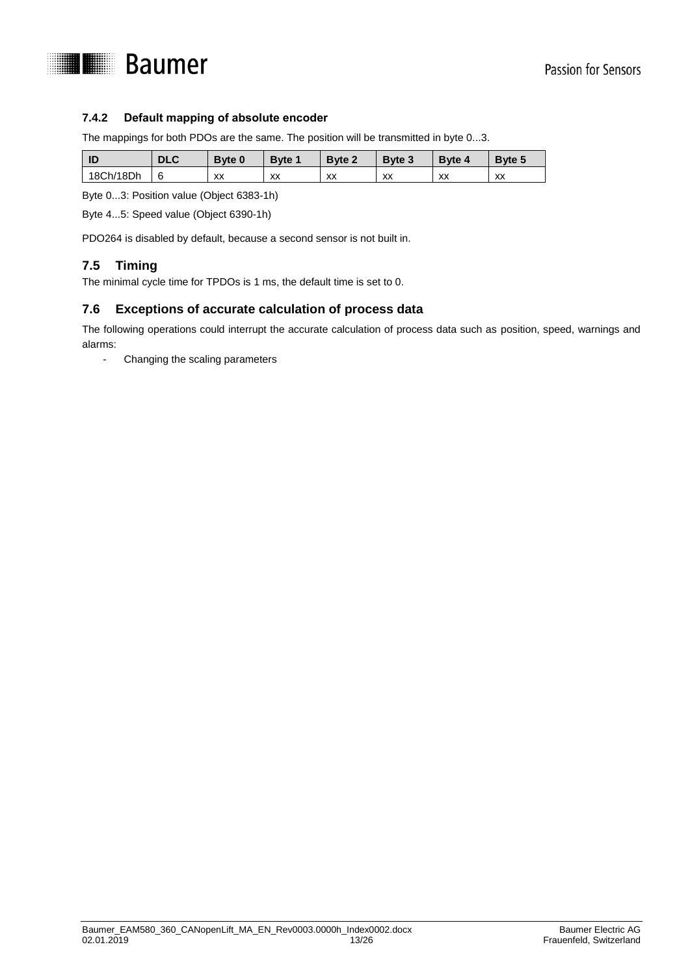

### <span id="page-12-0"></span>**7.4.2 Default mapping of absolute encoder**

The mappings for both PDOs are the same. The position will be transmitted in byte 0...3.

| - ID      | <b>DLC</b> | Byte 0  | Byte 1 | Byte 2 | <b>Byte 3</b> | <b>Byte 4</b> | <b>Byte 5</b> |
|-----------|------------|---------|--------|--------|---------------|---------------|---------------|
| 18Ch/18Dh | 6          | vv<br>ᄊ | XX     | XX     | XX            | XX            | XX            |

Byte 0...3: Position value (Object 6383-1h)

Byte 4...5: Speed value (Object 6390-1h)

<span id="page-12-1"></span>PDO264 is disabled by default, because a second sensor is not built in.

# **7.5 Timing**

<span id="page-12-2"></span>The minimal cycle time for TPDOs is 1 ms, the default time is set to 0.

#### **7.6 Exceptions of accurate calculation of process data**

The following operations could interrupt the accurate calculation of process data such as position, speed, warnings and alarms:

- Changing the scaling parameters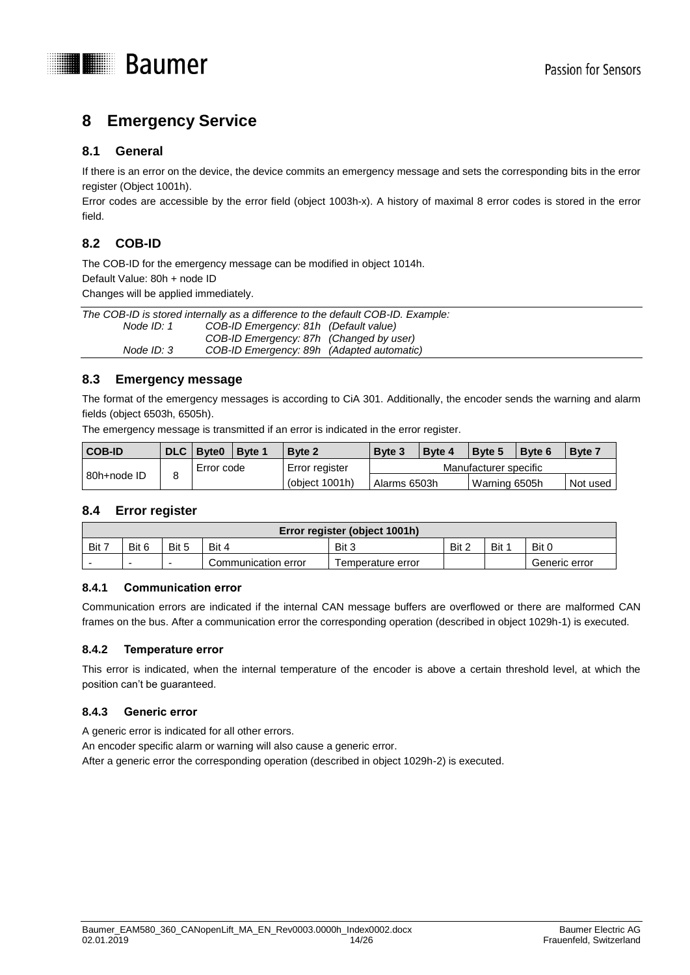

# <span id="page-13-0"></span>**8 Emergency Service**

### <span id="page-13-1"></span>**8.1 General**

If there is an error on the device, the device commits an emergency message and sets the corresponding bits in the error register (Object 1001h).

Error codes are accessible by the error field (object 1003h-x). A history of maximal 8 error codes is stored in the error field.

# <span id="page-13-2"></span>**8.2 COB-ID**

The COB-ID for the emergency message can be modified in object 1014h. Default Value: 80h + node ID

Changes will be applied immediately.

|            | The COB-ID is stored internally as a difference to the default COB-ID. Example: |  |  |  |  |  |  |
|------------|---------------------------------------------------------------------------------|--|--|--|--|--|--|
| Node ID: 1 | COB-ID Emergency: 81h (Default value)                                           |  |  |  |  |  |  |
|            | COB-ID Emergency: 87h (Changed by user)                                         |  |  |  |  |  |  |
| Node ID: 3 | COB-ID Emergency: 89h (Adapted automatic)                                       |  |  |  |  |  |  |
|            |                                                                                 |  |  |  |  |  |  |

### <span id="page-13-3"></span>**8.3 Emergency message**

The format of the emergency messages is according to CiA 301. Additionally, the encoder sends the warning and alarm fields (object 6503h, 6505h).

The emergency message is transmitted if an error is indicated in the error register.

| <b>COB-ID</b> | <b>DLC</b> | Byte <sub>0</sub> | <b>Byte 1</b>                 | <b>Byte 2</b> | Byte 3                | Byte 4 | <b>Byte 5</b> | <b>Byte 6</b> | <b>Byte</b> 7 |
|---------------|------------|-------------------|-------------------------------|---------------|-----------------------|--------|---------------|---------------|---------------|
|               | Error code |                   | Error register                |               | Manufacturer specific |        |               |               |               |
| 80h+node ID   |            | (object 1001h)    | Warning 6505h<br>Alarms 6503h |               | Not used              |        |               |               |               |

#### <span id="page-13-4"></span>**8.4 Error register**

|       | Error register (object 1001h) |                          |                     |                    |     |       |               |  |  |
|-------|-------------------------------|--------------------------|---------------------|--------------------|-----|-------|---------------|--|--|
| Bit 7 | Bit 6                         | Bit 5                    | Bit 4               | Bit 3              | Bit | Bit : | Bit 0         |  |  |
| -     | $\overline{\phantom{0}}$      | $\overline{\phantom{0}}$ | Communication error | I emperature error |     |       | Generic error |  |  |

#### <span id="page-13-5"></span>**8.4.1 Communication error**

Communication errors are indicated if the internal CAN message buffers are overflowed or there are malformed CAN frames on the bus. After a communication error the corresponding operation (described in object 1029h-1) is executed.

#### <span id="page-13-6"></span>**8.4.2 Temperature error**

This error is indicated, when the internal temperature of the encoder is above a certain threshold level, at which the position can't be guaranteed.

#### <span id="page-13-7"></span>**8.4.3 Generic error**

A generic error is indicated for all other errors.

An encoder specific alarm or warning will also cause a generic error.

After a generic error the corresponding operation (described in object 1029h-2) is executed.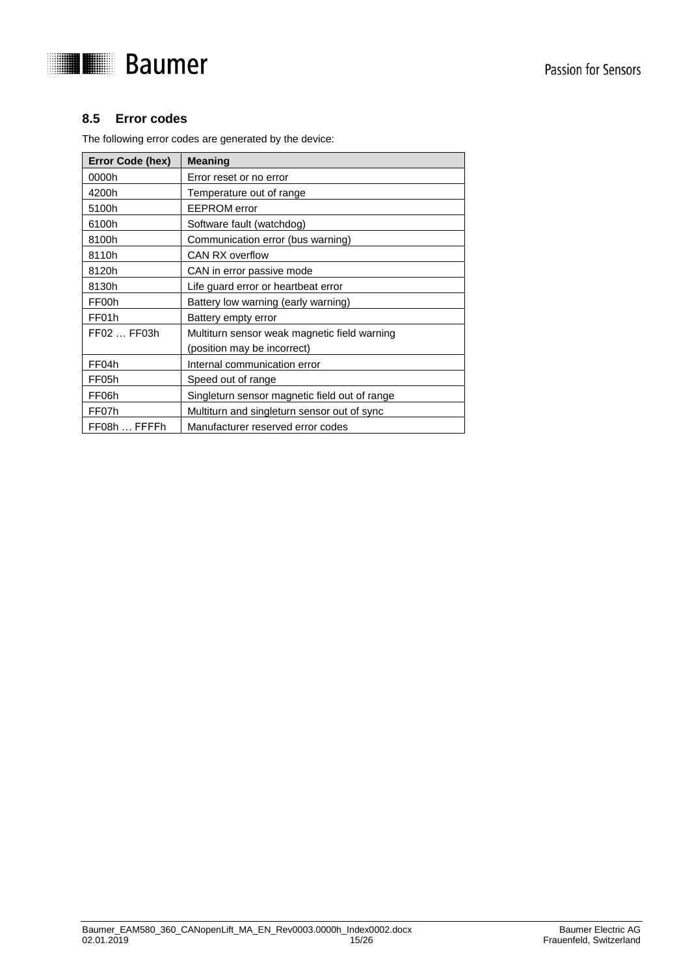



# <span id="page-14-0"></span>**8.5 Error codes**

The following error codes are generated by the device:

| Error Code (hex) | <b>Meaning</b>                                |
|------------------|-----------------------------------------------|
| 0000h            | Error reset or no error                       |
| 4200h            | Temperature out of range                      |
| 5100h            | <b>EEPROM</b> error                           |
| 6100h            | Software fault (watchdog)                     |
| 8100h            | Communication error (bus warning)             |
| 8110h            | CAN RX overflow                               |
| 8120h            | CAN in error passive mode                     |
| 8130h            | Life guard error or heartbeat error           |
| FF00h            | Battery low warning (early warning)           |
| FF01h            | Battery empty error                           |
| FF02  FF03h      | Multiturn sensor weak magnetic field warning  |
|                  | (position may be incorrect)                   |
| FF04h            | Internal communication error                  |
| FF05h            | Speed out of range                            |
| FF06h            | Singleturn sensor magnetic field out of range |
| FF07h            | Multiturn and singleturn sensor out of sync   |
| FF08h  FFFFh     | Manufacturer reserved error codes             |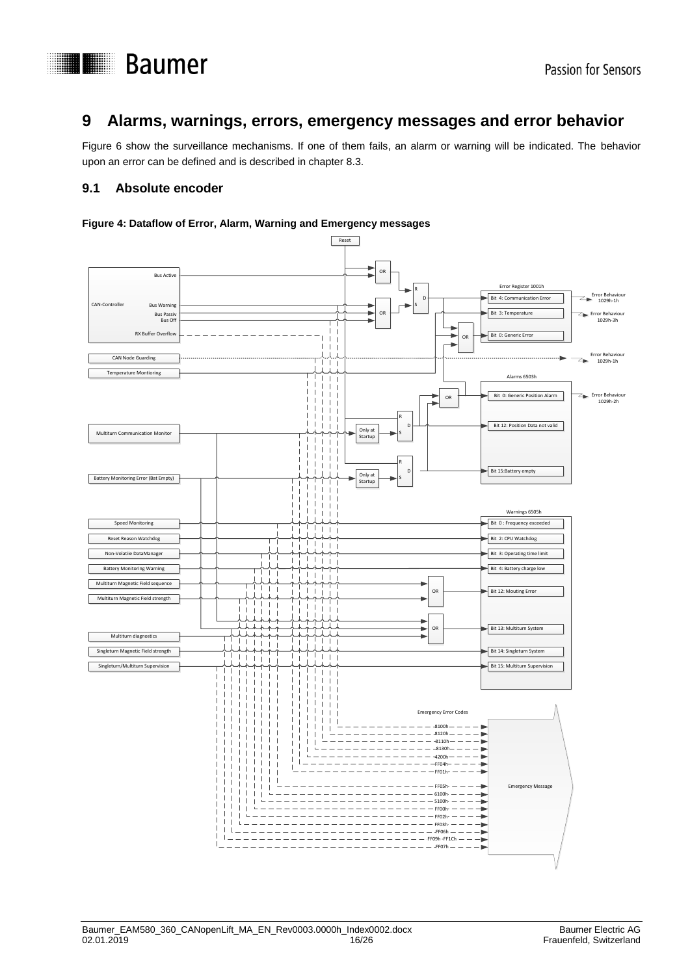



# <span id="page-15-0"></span>**9 Alarms, warnings, errors, emergency messages and error behavior**

Figure 6 show the surveillance mechanisms. If one of them fails, an alarm or warning will be indicated. The behavior upon an error can be defined and is described in chapter 8.3.

### <span id="page-15-1"></span>**9.1 Absolute encoder**

#### **Figure 4: Dataflow of Error, Alarm, Warning and Emergency messages**

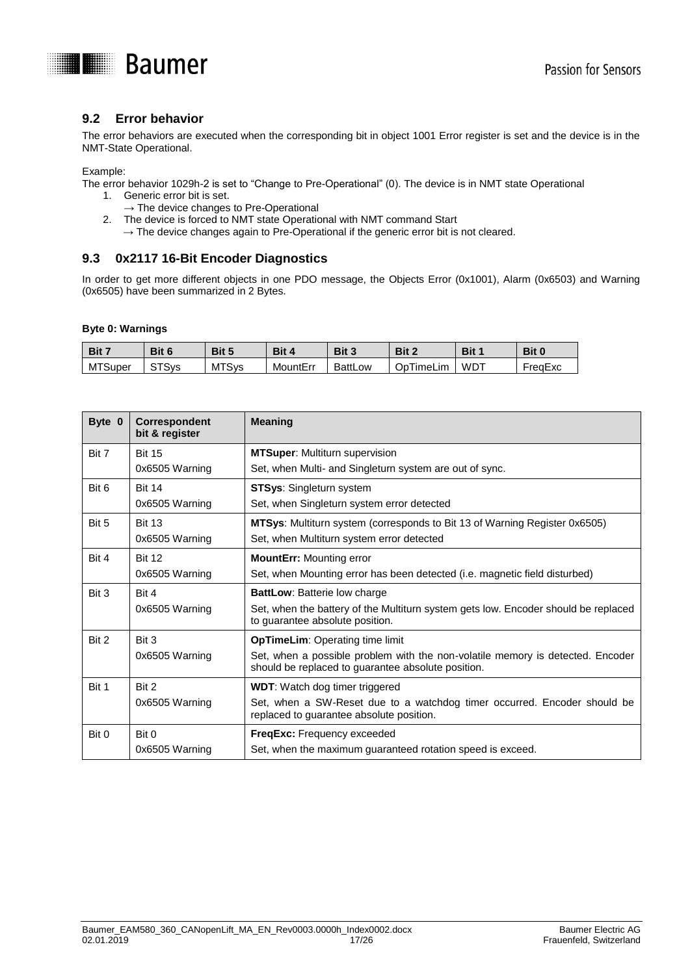

# <span id="page-16-0"></span>**9.2 Error behavior**

The error behaviors are executed when the corresponding bit in object 1001 Error register is set and the device is in the NMT-State Operational.

Example:

The error behavior 1029h-2 is set to "Change to Pre-Operational" (0). The device is in NMT state Operational 1. Generic error bit is set.

- $\rightarrow$  The device changes to Pre-Operational
- 2. The device is forced to NMT state Operational with NMT command Start
	- $\rightarrow$  The device changes again to Pre-Operational if the generic error bit is not cleared.

### <span id="page-16-1"></span>**9.3 0x2117 16-Bit Encoder Diagnostics**

In order to get more different objects in one PDO message, the Objects Error (0x1001), Alarm (0x6503) and Warning (0x6505) have been summarized in 2 Bytes.

#### **Byte 0: Warnings**

| /Bit 7         | Bit 6 | Bit 5        | Bit 4    | Bit 3          | Bit 2               | Bit 1 | Bit 0   |
|----------------|-------|--------------|----------|----------------|---------------------|-------|---------|
| <b>MTSuper</b> | ਼ਾSvs | <b>MTSvs</b> | MountErr | <b>BattLow</b> | Op<br><b>ImeLim</b> | WD.   | FreaExc |

| Byte 0 | Correspondent<br>bit & register | <b>Meaning</b>                                                                                                                       |
|--------|---------------------------------|--------------------------------------------------------------------------------------------------------------------------------------|
| Bit 7  | <b>Bit 15</b>                   | <b>MTSuper: Multiturn supervision</b>                                                                                                |
|        | 0x6505 Warning                  | Set, when Multi- and Singleturn system are out of sync.                                                                              |
| Bit 6  | <b>Bit 14</b>                   | <b>STSys: Singleturn system</b>                                                                                                      |
|        | 0x6505 Warning                  | Set, when Singleturn system error detected                                                                                           |
| Bit 5  | <b>Bit 13</b>                   | <b>MTSys:</b> Multiturn system (corresponds to Bit 13 of Warning Register 0x6505)                                                    |
|        | 0x6505 Warning                  | Set, when Multiturn system error detected                                                                                            |
| Bit 4  | <b>Bit 12</b>                   | <b>MountErr:</b> Mounting error                                                                                                      |
|        | 0x6505 Warning                  | Set, when Mounting error has been detected (i.e. magnetic field disturbed)                                                           |
| Bit 3  | Bit 4                           | BattLow: Batterie low charge                                                                                                         |
|        | 0x6505 Warning                  | Set, when the battery of the Multiturn system gets low. Encoder should be replaced<br>to guarantee absolute position.                |
| Bit 2  | Bit 3                           | <b>OpTimeLim: Operating time limit</b>                                                                                               |
|        | 0x6505 Warning                  | Set, when a possible problem with the non-volatile memory is detected. Encoder<br>should be replaced to guarantee absolute position. |
| Bit 1  | Bit 2                           | <b>WDT:</b> Watch dog timer triggered                                                                                                |
|        | 0x6505 Warning                  | Set, when a SW-Reset due to a watchdog timer occurred. Encoder should be<br>replaced to guarantee absolute position.                 |
| Bit 0  | Bit 0                           | <b>FreqExc:</b> Frequency exceeded                                                                                                   |
|        | 0x6505 Warning                  | Set, when the maximum guaranteed rotation speed is exceed.                                                                           |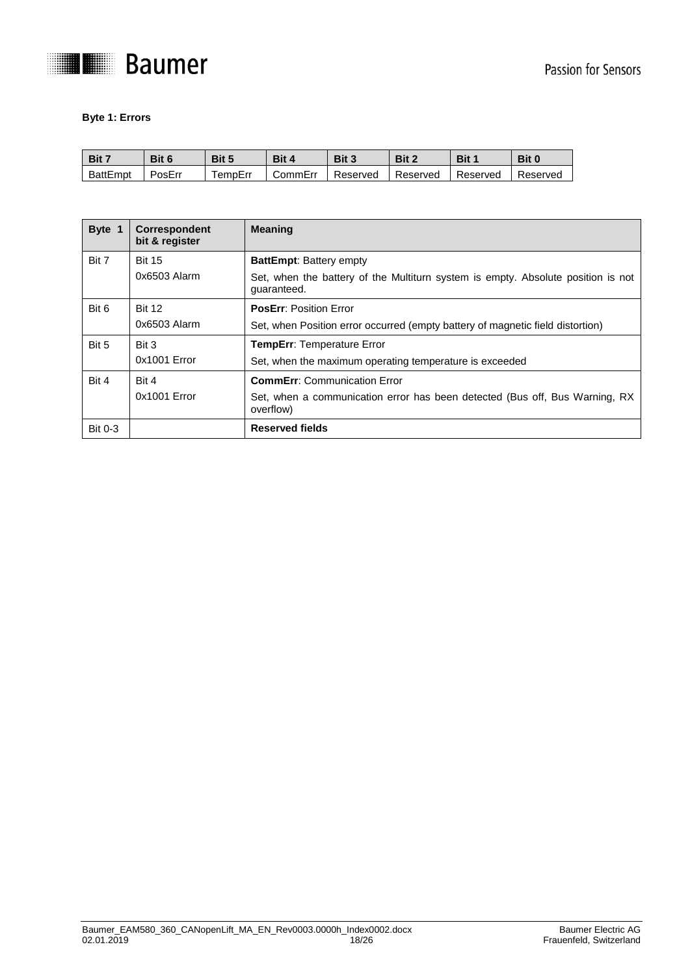

#### **Byte 1: Errors**

| Bit 7    | Bit 6  | Bit 5  | Bit 4    | Bit 3    | Bit 2    | Bit 1    | Bit 0    |
|----------|--------|--------|----------|----------|----------|----------|----------|
| BattEmpt | PosErr | empErr | .ommErrٽ | Reserved | Reserved | Reserved | Reserved |

| Byte 1         | Correspondent<br>bit & register | <b>Meaning</b>                                                                                                     |
|----------------|---------------------------------|--------------------------------------------------------------------------------------------------------------------|
| Bit 7          | <b>Bit 15</b><br>$0x6503$ Alarm | <b>BattEmpt: Battery empty</b><br>Set, when the battery of the Multiturn system is empty. Absolute position is not |
|                |                                 | quaranteed.                                                                                                        |
| Bit 6          | <b>Bit 12</b>                   | <b>PosErr: Position Error</b>                                                                                      |
|                | 0x6503 Alarm                    | Set, when Position error occurred (empty battery of magnetic field distortion)                                     |
| Bit 5          | Bit 3                           | <b>TempErr: Temperature Error</b>                                                                                  |
|                | $0x1001$ Error                  | Set, when the maximum operating temperature is exceeded                                                            |
| Bit 4          | Bit 4                           | <b>CommErr:</b> Communication Error                                                                                |
|                | $0x1001$ Error                  | Set, when a communication error has been detected (Bus off, Bus Warning, RX<br>overflow)                           |
| <b>Bit 0-3</b> |                                 | <b>Reserved fields</b>                                                                                             |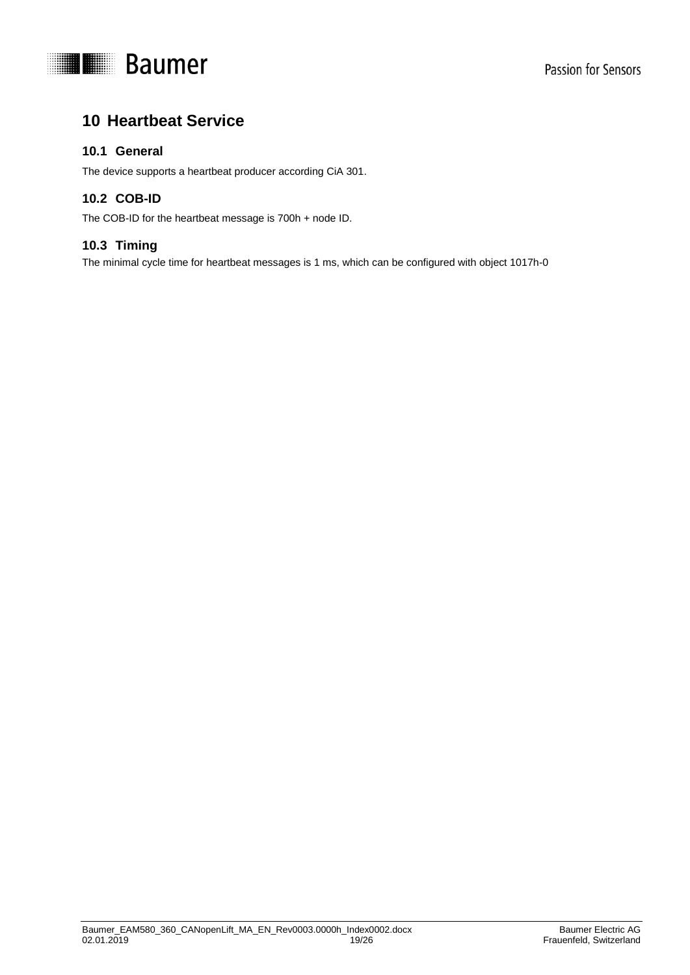

# <span id="page-18-0"></span>**10 Heartbeat Service**

# <span id="page-18-1"></span>**10.1 General**

<span id="page-18-2"></span>The device supports a heartbeat producer according CiA 301.

# **10.2 COB-ID**

<span id="page-18-3"></span>The COB-ID for the heartbeat message is 700h + node ID.

# **10.3 Timing**

The minimal cycle time for heartbeat messages is 1 ms, which can be configured with object 1017h-0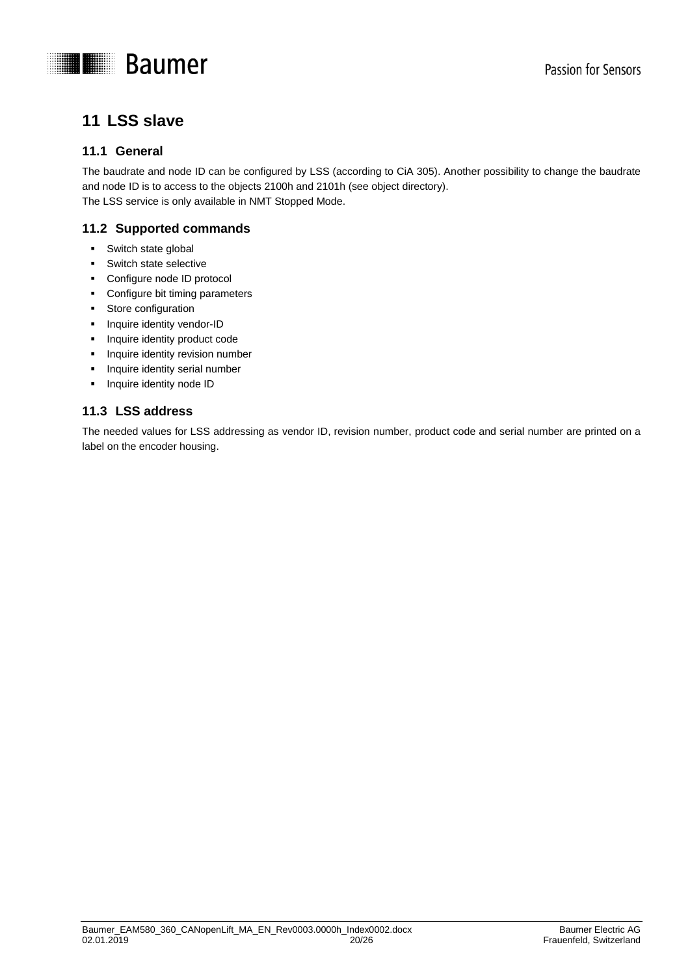

# <span id="page-19-0"></span>**11 LSS slave**

# <span id="page-19-1"></span>**11.1 General**

The baudrate and node ID can be configured by LSS (according to CiA 305). Another possibility to change the baudrate and node ID is to access to the objects 2100h and 2101h (see object directory). The LSS service is only available in NMT Stopped Mode.

# <span id="page-19-2"></span>**11.2 Supported commands**

- **Switch state global**
- **Switch state selective**
- Configure node ID protocol
- **•** Configure bit timing parameters
- **Store configuration**
- **Inquire identity vendor-ID**
- **Inquire identity product code**
- **Inquire identity revision number**
- **Inquire identity serial number**
- **Inquire identity node ID**

# <span id="page-19-3"></span>**11.3 LSS address**

The needed values for LSS addressing as vendor ID, revision number, product code and serial number are printed on a label on the encoder housing.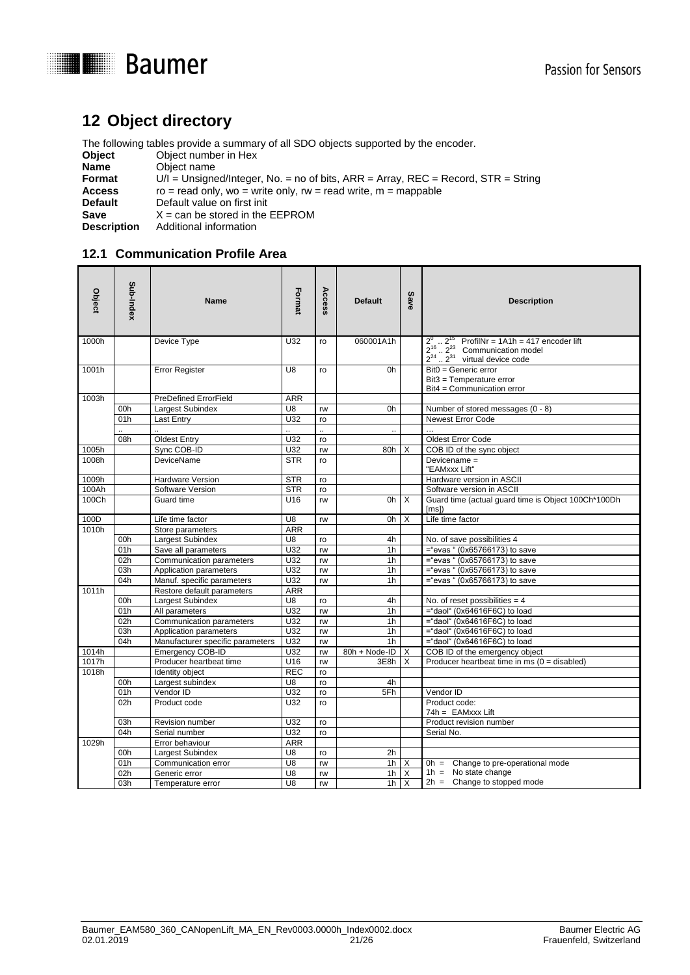

# <span id="page-20-0"></span>**12 Object directory**

The following tables provide a summary of all SDO objects supported by the encoder.<br>Object Object number in Hex

- **Object** Object number in Hex<br> **Name** Object name
- **Name** Object name
- **Format** U/I = Unsigned/Integer, No. = no of bits, ARR = Array, REC = Record, STR = String

**Access** ro = read only, wo = write only, rw = read write, m = mappable<br>**Default** Default value on first init

**Default** Default value on first init<br> **Save**  $X = \text{can be stored in the}$ **Save**  $X = \text{can be stored in the EEPROM}$ <br>**Description** Additional information

**Additional information** 

# <span id="page-20-1"></span>**12.1 Communication Profile Area**

| Object | Sub-Index  | Name                             | Format               | Access   | <b>Default</b>       | Save                    | <b>Description</b>                                                                                                                                               |
|--------|------------|----------------------------------|----------------------|----------|----------------------|-------------------------|------------------------------------------------------------------------------------------------------------------------------------------------------------------|
| 1000h  |            | Device Type                      | U32                  | ro       | 060001A1h            |                         | $2^0$ $2^{15}$ ProfilNr = 1A1h = 417 e<br>$2^{16}$ $2^{23}$ Communication model<br>$2^{24}$ $2^{31}$ virtual device code<br>ProfilNr = $1A1h = 417$ encoder lift |
| 1001h  |            | <b>Error Register</b>            | U8                   | ro       | 0h                   |                         | Bit0 = Generic error<br>Bit3 = Temperature error<br>Bit4 = Communication error                                                                                   |
| 1003h  |            | <b>PreDefined ErrorField</b>     | <b>ARR</b>           |          |                      |                         |                                                                                                                                                                  |
|        | 00h        | Largest Subindex                 | U8                   | rw       | 0h                   |                         | Number of stored messages (0 - 8)                                                                                                                                |
|        | 01h        | Last Entry                       | U32                  | ro       |                      |                         | Newest Error Code                                                                                                                                                |
|        |            |                                  | $\ddot{\phantom{a}}$ | ä.       | $\ddot{\phantom{a}}$ |                         |                                                                                                                                                                  |
|        | 08h        | <b>Oldest Entry</b>              | U32                  | ro       |                      |                         | Oldest Error Code                                                                                                                                                |
| 1005h  |            | Sync COB-ID                      | U32                  | rw       | 80h                  | $\times$                | COB ID of the sync object                                                                                                                                        |
| 1008h  |            | <b>DeviceName</b>                | <b>STR</b>           | ro       |                      |                         | Devicename =<br>"EAMxxx Lift"                                                                                                                                    |
| 1009h  |            | Hardware Version                 | <b>STR</b>           | ro       |                      |                         | Hardware version in ASCII                                                                                                                                        |
| 100Ah  |            | Software Version                 | <b>STR</b>           | ro       |                      |                         | Software version in ASCII                                                                                                                                        |
| 100Ch  |            | Guard time                       | U16                  | rw       | 0h                   | X                       | Guard time (actual guard time is Object 100Ch*100Dh<br>[ms]                                                                                                      |
| 100D   |            | Life time factor                 | U8                   | rw       | 0h                   | $\times$                | Life time factor                                                                                                                                                 |
| 1010h  |            | Store parameters                 | <b>ARR</b>           |          |                      |                         |                                                                                                                                                                  |
|        | 00h        | Largest Subindex                 | U8                   | ro       | 4h                   |                         | No. of save possibilities 4                                                                                                                                      |
|        | 01h        | Save all parameters              | U32                  | rw       | 1 <sub>h</sub>       |                         | $=$ "evas " (0x65766173) to save                                                                                                                                 |
|        | 02h        | Communication parameters         | U32                  | rw       | 1 <sub>h</sub>       |                         | $=$ "evas " (0x65766173) to save                                                                                                                                 |
|        | 03h        | Application parameters           | U32                  | rw       | 1 <sub>h</sub>       |                         | $=$ "evas " (0x65766173) to save                                                                                                                                 |
|        | 04h        | Manuf. specific parameters       | U32                  | rw       | 1 <sub>h</sub>       |                         | $=$ "evas " (0x65766173) to save                                                                                                                                 |
| 1011h  |            | Restore default parameters       | <b>ARR</b>           |          |                      |                         |                                                                                                                                                                  |
|        | 00h        | Largest Subindex                 | U8                   | ro       | 4h                   |                         | No. of reset possibilities = $4$                                                                                                                                 |
|        | 01h        | All parameters                   | U32                  | rw       | 1 <sub>h</sub>       |                         | ="daol" (0x64616F6C) to load                                                                                                                                     |
|        | 02h        | Communication parameters         | U32                  | rw       | 1 <sub>h</sub>       |                         | ="daol" (0x64616F6C) to load                                                                                                                                     |
|        | 03h        | Application parameters           | U32                  | rw       | 1 <sub>h</sub>       |                         | ="daol" (0x64616F6C) to load                                                                                                                                     |
|        | 04h        | Manufacturer specific parameters | U32                  | rw       | 1 <sub>h</sub>       |                         | ="daol" (0x64616F6C) to load                                                                                                                                     |
| 1014h  |            | <b>Emergency COB-ID</b>          | U32                  | rw       | 80h + Node-ID        | $\mathsf{I} \mathsf{X}$ | COB ID of the emergency object                                                                                                                                   |
| 1017h  |            | Producer heartbeat time          | U16                  | rw       | 3E8h                 | $\times$                | Producer heartbeat time in ms $(0 = disabeled)$                                                                                                                  |
| 1018h  |            | Identity object                  | <b>REC</b>           | ro       |                      |                         |                                                                                                                                                                  |
|        | 00h        | Largest subindex                 | U8                   | ro       | 4h                   |                         |                                                                                                                                                                  |
|        | 01h<br>02h | Vendor ID<br>Product code        | U32<br>U32           | ro<br>ro | 5Fh                  |                         | Vendor ID<br>Product code:                                                                                                                                       |
|        |            |                                  |                      |          |                      |                         | $74h = EAMxxx$ Lift                                                                                                                                              |
|        | 03h        | Revision number                  | U32                  | ro       |                      |                         | Product revision number                                                                                                                                          |
|        | 04h        | Serial number                    | U32                  | ro       |                      |                         | Serial No.                                                                                                                                                       |
| 1029h  |            | Error behaviour                  | <b>ARR</b>           |          |                      |                         |                                                                                                                                                                  |
|        | 00h        | Largest Subindex                 | U8                   | ro       | 2h                   |                         |                                                                                                                                                                  |
|        | 01h        | Communication error              | U8                   | rw       | $1h$ $X$             |                         | Oh = Change to pre-operational mode<br>$1h = No state change$                                                                                                    |
|        | 02h        | Generic error                    | U8                   | rw       | 1 <sub>h</sub>       | $\mathsf{I} \mathsf{X}$ | $2h =$ Change to stopped mode                                                                                                                                    |
|        | 03h        | Temperature error                | U8                   | rw       |                      | $1h$ $X$                |                                                                                                                                                                  |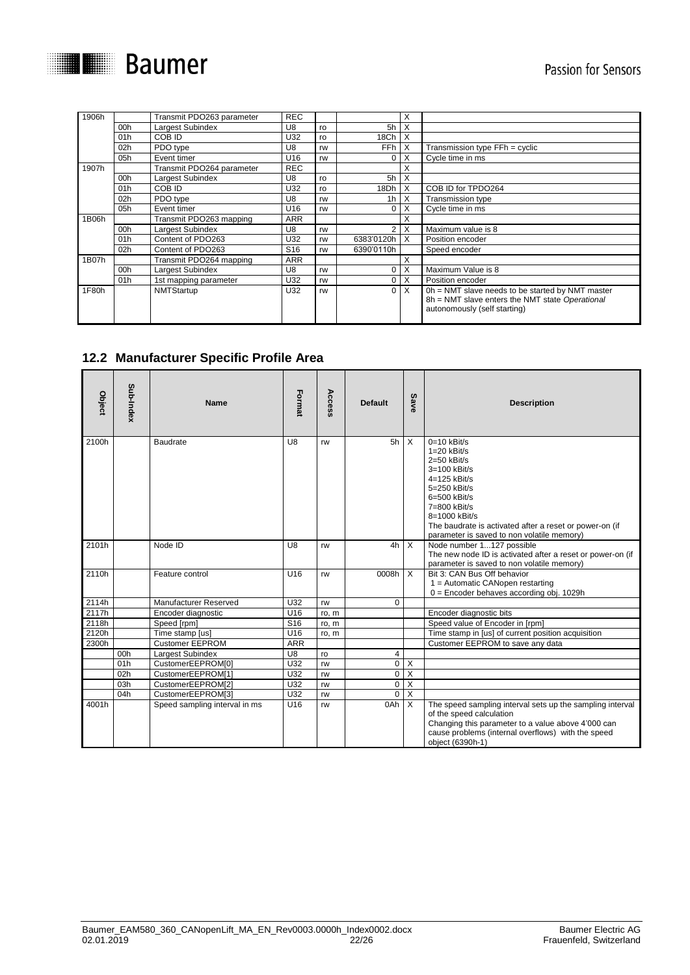

| 1906h |                 | Transmit PDO263 parameter | <b>REC</b>      |    |                 | X                       |                                                                                                                                     |
|-------|-----------------|---------------------------|-----------------|----|-----------------|-------------------------|-------------------------------------------------------------------------------------------------------------------------------------|
|       | 00h             | Largest Subindex          | U8              | ro | 5h              | X                       |                                                                                                                                     |
|       | 01h             | COB ID                    | U32             | ro | 18Ch            | X                       |                                                                                                                                     |
|       | 02h             | PDO type                  | U8              | rw | FF <sub>h</sub> | X                       | Transmission type FFh = cyclic                                                                                                      |
|       | 05h             | Event timer               | U <sub>16</sub> | rw | 0               | X                       | Cycle time in ms                                                                                                                    |
| 1907h |                 | Transmit PDO264 parameter | <b>REC</b>      |    |                 | X                       |                                                                                                                                     |
|       | 00h             | Largest Subindex          | U8              | ro | 5h              | X                       |                                                                                                                                     |
|       | 01h             | COB ID                    | U32             | ro | 18Dh            | X                       | COB ID for TPDO264                                                                                                                  |
|       | 02 <sub>h</sub> | PDO type                  | U8              | rw | 1 <sub>h</sub>  | X                       | Transmission type                                                                                                                   |
|       | 05h             | Event timer               | U <sub>16</sub> | rw | 0               | X                       | Cycle time in ms                                                                                                                    |
| 1B06h |                 | Transmit PDO263 mapping   | <b>ARR</b>      |    |                 | X                       |                                                                                                                                     |
|       | 00h             | Largest Subindex          | U8              | rw | 2 <sub>1</sub>  | X                       | Maximum value is 8                                                                                                                  |
|       | 01h             | Content of PDO263         | U32             | rw | 6383'0120h      | $\times$                | Position encoder                                                                                                                    |
|       | 02 <sub>h</sub> | Content of PDO263         | S <sub>16</sub> | rw | 6390'0110h      |                         | Speed encoder                                                                                                                       |
| 1B07h |                 | Transmit PDO264 mapping   | ARR             |    |                 | X                       |                                                                                                                                     |
|       | 00h             | Largest Subindex          | U8              | rw | 0               | X                       | Maximum Value is 8                                                                                                                  |
|       | 01 <sub>h</sub> | 1st mapping parameter     | U32             | rw | $\overline{0}$  | Χ                       | Position encoder                                                                                                                    |
| 1F80h |                 | NMTStartup                | U32             | rw | 0               | $\mathsf{I} \mathsf{X}$ | Oh = NMT slave needs to be started by NMT master<br>8h = NMT slave enters the NMT state Operational<br>autonomously (self starting) |

# <span id="page-21-0"></span>**12.2 Manufacturer Specific Profile Area**

| Object | Sub-Index | <b>Name</b>                   | Format          | Access | <b>Default</b> | Save                    | <b>Description</b>                                                                                                                                                                                                                                              |
|--------|-----------|-------------------------------|-----------------|--------|----------------|-------------------------|-----------------------------------------------------------------------------------------------------------------------------------------------------------------------------------------------------------------------------------------------------------------|
| 2100h  |           | <b>Baudrate</b>               | U8              | rw     | 5h             | $\times$                | $0=10$ kBit/s<br>$1=20$ kBit/s<br>$2=50$ kBit/s<br>3=100 kBit/s<br>$4=125$ kBit/s<br>$5=250$ kBit/s<br>6=500 kBit/s<br>$7=800$ kBit/s<br>8=1000 kBit/s<br>The baudrate is activated after a reset or power-on (if<br>parameter is saved to non volatile memory) |
| 2101h  |           | Node ID                       | U <sub>8</sub>  | rw     | 4h             | $\times$                | Node number 1127 possible<br>The new node ID is activated after a reset or power-on (if<br>parameter is saved to non volatile memory)                                                                                                                           |
| 2110h  |           | Feature control               | U <sub>16</sub> | rw     | 0008h          | $\times$                | Bit 3: CAN Bus Off behavior<br>1 = Automatic CANopen restarting<br>$0 =$ Encoder behaves according obj. 1029h                                                                                                                                                   |
| 2114h  |           | Manufacturer Reserved         | U32             | rw     | $\Omega$       |                         |                                                                                                                                                                                                                                                                 |
| 2117h  |           | Encoder diagnostic            | U16             | ro, m  |                |                         | Encoder diagnostic bits                                                                                                                                                                                                                                         |
| 2118h  |           | Speed [rpm]                   | S <sub>16</sub> | ro, m  |                |                         | Speed value of Encoder in [rpm]                                                                                                                                                                                                                                 |
| 2120h  |           | Time stamp [us]               | U16             | ro, m  |                |                         | Time stamp in [us] of current position acquisition                                                                                                                                                                                                              |
| 2300h  |           | <b>Customer EEPROM</b>        | <b>ARR</b>      |        |                |                         | Customer EEPROM to save any data                                                                                                                                                                                                                                |
|        | 00h       | Largest Subindex              | U8              | ro     | $\overline{4}$ |                         |                                                                                                                                                                                                                                                                 |
|        | 01h       | CustomerEEPROM[0]             | U32             | rw     | $\mathbf 0$    | $\overline{X}$          |                                                                                                                                                                                                                                                                 |
|        | 02h       | CustomerEEPROM[1]             | U32             | rw     | $\mathbf 0$    | X                       |                                                                                                                                                                                                                                                                 |
|        | 03h       | CustomerEEPROM[2]             | U32             | rw     | 0              | $\overline{X}$          |                                                                                                                                                                                                                                                                 |
|        | 04h       | CustomerEEPROM[3]             | U32             | rw     | $\Omega$       | $\overline{\mathsf{x}}$ |                                                                                                                                                                                                                                                                 |
| 4001h  |           | Speed sampling interval in ms | U <sub>16</sub> | rw     | 0Ah            | $\overline{X}$          | The speed sampling interval sets up the sampling interval<br>of the speed calculation<br>Changing this parameter to a value above 4'000 can<br>cause problems (internal overflows) with the speed<br>object (6390h-1)                                           |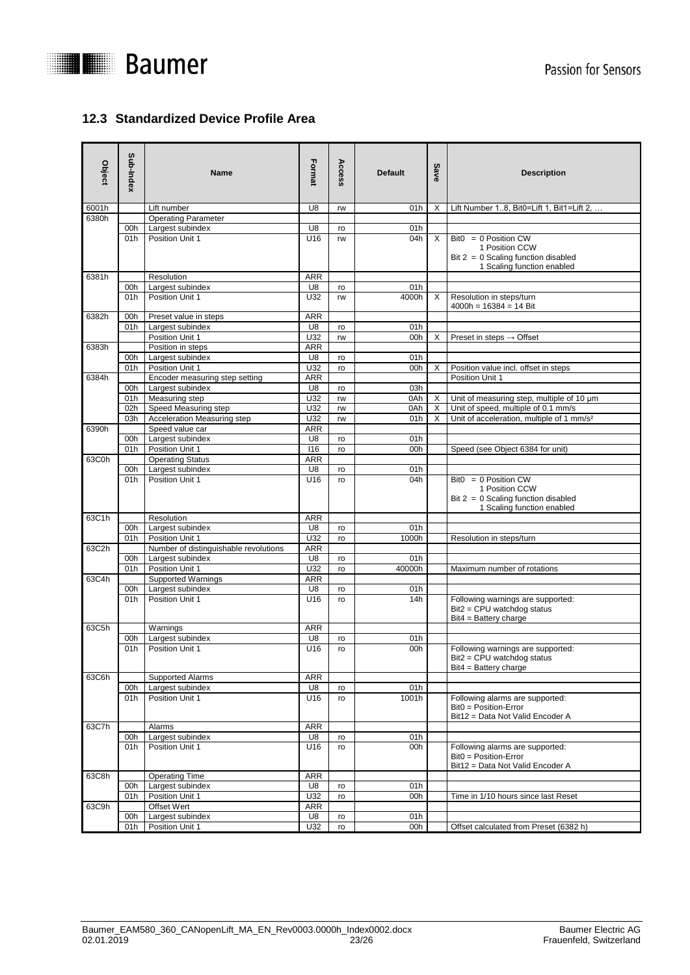



# <span id="page-22-0"></span>**12.3 Standardized Device Profile Area**

| Object | Sub-Index  | <b>Name</b>                           | Format          | Access   | <b>Default</b> | Save     | <b>Description</b>                                                                                              |
|--------|------------|---------------------------------------|-----------------|----------|----------------|----------|-----------------------------------------------------------------------------------------------------------------|
| 6001h  |            | Lift number                           | U8              | rw       | 01h            | Х        | Lift Number 18, Bit0=Lift 1, Bit1=Lift 2,                                                                       |
| 6380h  |            | <b>Operating Parameter</b>            |                 |          |                |          |                                                                                                                 |
|        | 00h        | Largest subindex                      | U8              | ro       | 01h            |          |                                                                                                                 |
|        | 01h        | Position Unit 1                       | U16             | rw       | 04h            | $\times$ | $Bit0 = 0$ Position CW<br>1 Position CCW<br>$Bit 2 = 0$ Scaling function disabled<br>1 Scaling function enabled |
| 6381h  |            | Resolution                            | <b>ARR</b>      |          |                |          |                                                                                                                 |
|        | 00h        | Largest subindex                      | U8              | ro       | 01h            |          |                                                                                                                 |
|        | 01h        | Position Unit 1                       | U32             | rw       | 4000h          | X        | Resolution in steps/turn<br>$4000h = 16384 = 14 Bit$                                                            |
| 6382h  | 00h        | Preset value in steps                 | <b>ARR</b>      |          |                |          |                                                                                                                 |
|        | 01h        | Largest subindex                      | U8              | ro       | 01h            |          |                                                                                                                 |
|        |            | Position Unit 1                       | U32             | rw       | 00h            | X        | Preset in steps $\rightarrow$ Offset                                                                            |
| 6383h  |            | Position in steps                     | ARR<br>U8       |          | 01h            |          |                                                                                                                 |
|        | 00h<br>01h | Largest subindex<br>Position Unit 1   | U32             | ro<br>ro | 00h            | Х        | Position value incl. offset in steps                                                                            |
| 6384h  |            | Encoder measuring step setting        | <b>ARR</b>      |          |                |          | Position Unit 1                                                                                                 |
|        | 00h        | Largest subindex                      | U8              | ro       | 03h            |          |                                                                                                                 |
|        | 01h        | Measuring step                        | U32             | rw       | 0Ah            | X        | Unit of measuring step, multiple of 10 µm                                                                       |
|        | 02h        | Speed Measuring step                  | U32             | rw       | 0Ah            | Χ        | Unit of speed, multiple of 0.1 mm/s                                                                             |
|        | 03h        | Acceleration Measuring step           | U32             | rw       | 01h            | X        | Unit of acceleration, multiple of 1 mm/s <sup>2</sup>                                                           |
| 6390h  |            | Speed value car                       | <b>ARR</b>      |          |                |          |                                                                                                                 |
|        | 00h        | Largest subindex                      | U8              | ro       | 01h            |          |                                                                                                                 |
|        | 01h        | Position Unit 1                       | 116             | ro       | 00h            |          | Speed (see Object 6384 for unit)                                                                                |
| 63C0h  |            | <b>Operating Status</b>               | <b>ARR</b>      |          |                |          |                                                                                                                 |
|        | 00h        | Largest subindex                      | U8              | ro       | 01h            |          |                                                                                                                 |
|        | 01h        | Position Unit 1                       | U16             | ro       | 04h            |          | $Bit0 = 0$ Position CW<br>1 Position CCW<br>$Bit 2 = 0$ Scaling function disabled<br>1 Scaling function enabled |
| 63C1h  |            | Resolution                            | ARR             |          |                |          |                                                                                                                 |
|        | 00h        | Largest subindex                      | U8              | ro       | 01h            |          |                                                                                                                 |
|        | 01h        | Position Unit 1                       | U32             | ro       | 1000h          |          | Resolution in steps/turn                                                                                        |
| 63C2h  |            | Number of distinguishable revolutions | <b>ARR</b>      |          |                |          |                                                                                                                 |
|        | 00h        | Largest subindex                      | U8              | ro       | 01h            |          |                                                                                                                 |
|        | 01h        | Position Unit 1                       | U32             | ro       | 40000h         |          | Maximum number of rotations                                                                                     |
| 63C4h  |            | <b>Supported Warnings</b>             | <b>ARR</b>      |          |                |          |                                                                                                                 |
|        | 00h        | Largest subindex                      | U8              | ro       | 01h            |          |                                                                                                                 |
|        | 01h        | Position Unit 1                       | U16             | ro       | 14h            |          | Following warnings are supported:<br>Bit2 = CPU watchdog status<br>$Bit4 = Buttery charge$                      |
| 63C5h  |            | Warnings                              | ARR             |          |                |          |                                                                                                                 |
|        | 00h<br>01h | Largest subindex<br>Position Unit 1   | U8<br>U16       | ro<br>ro | 01h<br>00h     |          | Following warnings are supported:<br>$Bit2 = CPU$ watchdog status<br>$Bit4 = Buttery charge$                    |
| 63C6h  |            | Supported Alarms                      | ARR             |          |                |          |                                                                                                                 |
|        | 00h        | Largest subindex                      | U8              | ro       | 01h            |          |                                                                                                                 |
|        | 01h        | Position Unit 1                       | U16             | ro       | 1001h          |          | Following alarms are supported:<br>Bit0 = Position-Error<br>Bit12 = Data Not Valid Encoder A                    |
| 63C7h  |            | Alarms                                | ARR             |          |                |          |                                                                                                                 |
|        | 00h<br>01h | Largest subindex<br>Position Unit 1   | U8<br>U16       | ro<br>ro | 01h<br>00h     |          | Following alarms are supported:<br>Bit0 = Position-Error<br>Bit12 = Data Not Valid Encoder A                    |
| 63C8h  |            | <b>Operating Time</b>                 | ARR             |          |                |          |                                                                                                                 |
|        | 00h        | Largest subindex                      | U8              | ro       | 01h            |          |                                                                                                                 |
|        | 01h        | Position Unit 1                       | U32             | ro       | 00h            |          | Time in 1/10 hours since last Reset                                                                             |
| 63C9h  |            | Offset Wert                           | <b>ARR</b>      |          |                |          |                                                                                                                 |
|        | 00h        | Largest subindex                      | U8              | ro       | 01h            |          |                                                                                                                 |
|        | 01h        | Position Unit 1                       | U <sub>32</sub> | ro       | 00h            |          | Offset calculated from Preset (6382 h)                                                                          |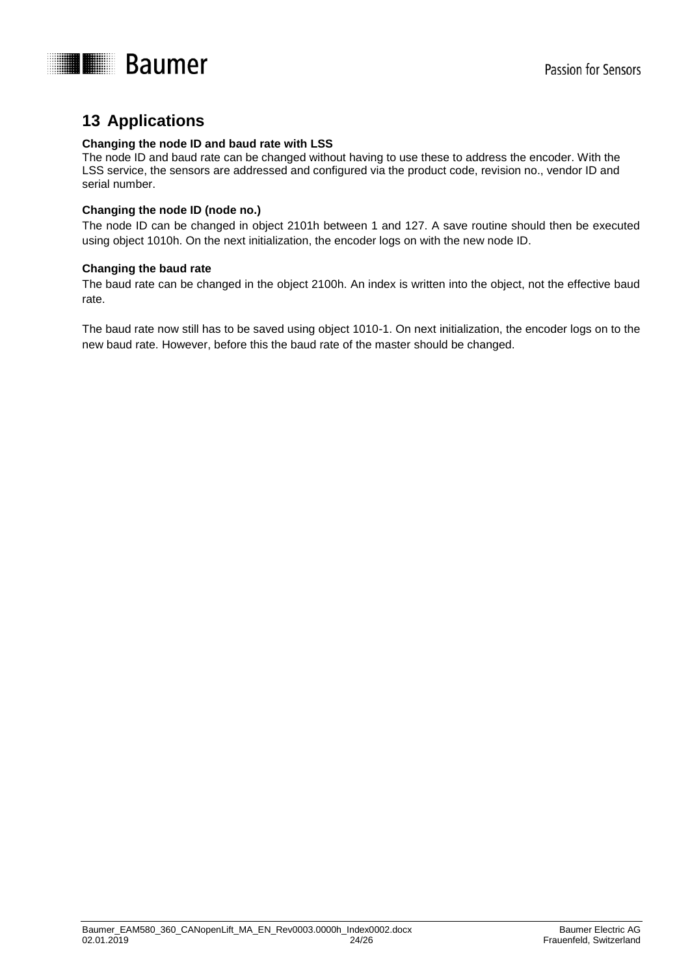

# <span id="page-23-0"></span>**13 Applications**

#### **Changing the node ID and baud rate with LSS**

The node ID and baud rate can be changed without having to use these to address the encoder. With the LSS service, the sensors are addressed and configured via the product code, revision no., vendor ID and serial number.

#### **Changing the node ID (node no.)**

The node ID can be changed in object 2101h between 1 and 127. A save routine should then be executed using object 1010h. On the next initialization, the encoder logs on with the new node ID.

#### **Changing the baud rate**

The baud rate can be changed in the object 2100h. An index is written into the object, not the effective baud rate.

The baud rate now still has to be saved using object 1010-1. On next initialization, the encoder logs on to the new baud rate. However, before this the baud rate of the master should be changed.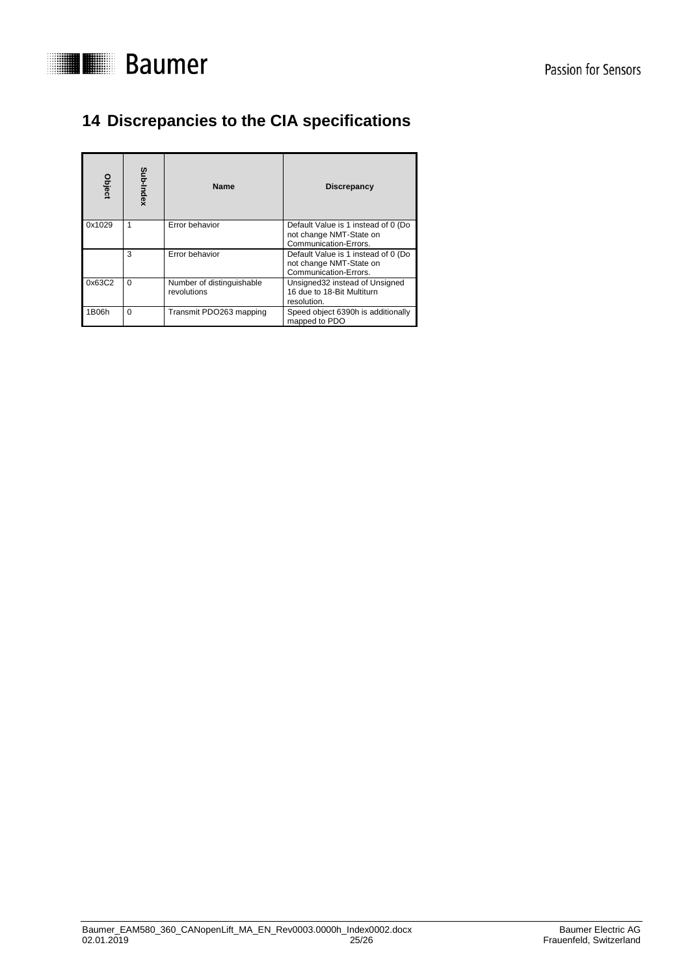

# <span id="page-24-0"></span>**14 Discrepancies to the CIA specifications**

| Object | Sub-Index | <b>Name</b>                              | Discrepancy                                                                             |
|--------|-----------|------------------------------------------|-----------------------------------------------------------------------------------------|
| 0x1029 | 1         | Error behavior                           | Default Value is 1 instead of 0 (Do<br>not change NMT-State on<br>Communication-Errors. |
|        | 3         | Error behavior                           | Default Value is 1 instead of 0 (Do<br>not change NMT-State on<br>Communication-Errors. |
| 0x63C2 | $\Omega$  | Number of distinguishable<br>revolutions | Unsigned 32 instead of Unsigned<br>16 due to 18-Bit Multiturn<br>resolution.            |
| 1B06h  | $\Omega$  | Transmit PDO263 mapping                  | Speed object 6390h is additionally<br>mapped to PDO                                     |